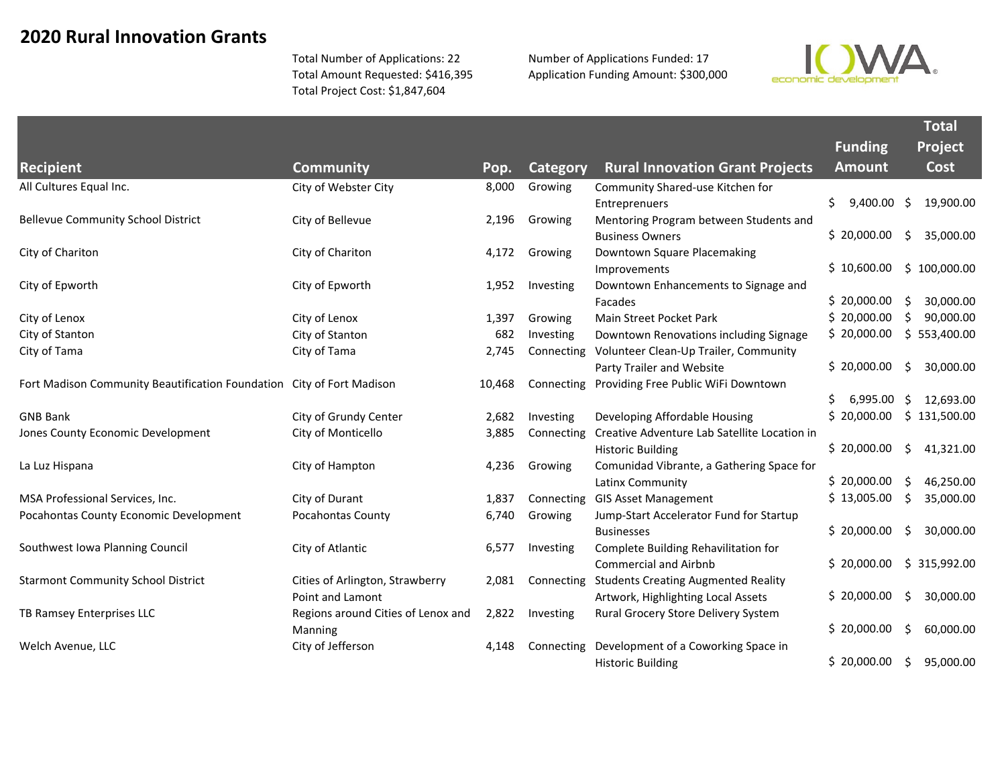## **2020 Rural Innovation Grants**

Total Number of Applications: 22 Total Amount Requested: \$416,395 Total Project Cost: \$1,847,604

Number of Applications Funded: 17 Application Funding Amount: \$300,000



|                                                                       |                                    |        |            |                                              |                      | <b>Total</b>    |
|-----------------------------------------------------------------------|------------------------------------|--------|------------|----------------------------------------------|----------------------|-----------------|
|                                                                       |                                    |        |            |                                              | <b>Funding</b>       | Project         |
| <b>Recipient</b>                                                      | <b>Community</b>                   | Pop.   | Category   | <b>Rural Innovation Grant Projects</b>       | <b>Amount</b>        | <b>Cost</b>     |
| All Cultures Equal Inc.                                               | City of Webster City               | 8,000  | Growing    | Community Shared-use Kitchen for             |                      |                 |
|                                                                       |                                    |        |            | Entreprenuers                                | \$.<br>$9,400.00$ \$ | 19,900.00       |
| <b>Bellevue Community School District</b>                             | City of Bellevue                   | 2,196  | Growing    | Mentoring Program between Students and       |                      |                 |
|                                                                       |                                    |        |            | <b>Business Owners</b>                       | \$20,000.00          | 35,000.00<br>\$ |
| City of Chariton                                                      | City of Chariton                   | 4,172  | Growing    | Downtown Square Placemaking                  |                      |                 |
|                                                                       |                                    |        |            | Improvements                                 | \$10,600.00          | \$100,000.00    |
| City of Epworth                                                       | City of Epworth                    | 1,952  | Investing  | Downtown Enhancements to Signage and         |                      |                 |
|                                                                       |                                    |        |            | Facades                                      | \$20,000.00          | 30,000.00<br>\$ |
| City of Lenox                                                         | City of Lenox                      | 1,397  | Growing    | Main Street Pocket Park                      | \$20,000.00          | Ŝ.<br>90,000.00 |
| City of Stanton                                                       | City of Stanton                    | 682    | Investing  | Downtown Renovations including Signage       | \$20,000.00          | \$553,400.00    |
| City of Tama                                                          | City of Tama                       | 2,745  | Connecting | Volunteer Clean-Up Trailer, Community        |                      |                 |
|                                                                       |                                    |        |            | Party Trailer and Website                    | \$20,000.00          | \$<br>30,000.00 |
| Fort Madison Community Beautification Foundation City of Fort Madison |                                    | 10,468 | Connecting | Providing Free Public WiFi Downtown          |                      |                 |
|                                                                       |                                    |        |            |                                              | 6,995.00             | 12,693.00<br>\$ |
| <b>GNB Bank</b>                                                       | City of Grundy Center              | 2,682  | Investing  | Developing Affordable Housing                | \$20,000.00          | \$131,500.00    |
| Jones County Economic Development                                     | City of Monticello                 | 3,885  | Connecting | Creative Adventure Lab Satellite Location in |                      |                 |
|                                                                       |                                    |        |            | <b>Historic Building</b>                     | \$20,000.00          | \$<br>41,321.00 |
| La Luz Hispana                                                        | City of Hampton                    | 4,236  | Growing    | Comunidad Vibrante, a Gathering Space for    |                      |                 |
|                                                                       |                                    |        |            | Latinx Community                             | \$20,000.00          | 46,250.00<br>\$ |
| MSA Professional Services, Inc.                                       | City of Durant                     | 1,837  | Connecting | <b>GIS Asset Management</b>                  | \$13,005.00          | \$<br>35,000.00 |
| Pocahontas County Economic Development                                | Pocahontas County                  | 6,740  | Growing    | Jump-Start Accelerator Fund for Startup      |                      |                 |
|                                                                       |                                    |        |            | <b>Businesses</b>                            | \$20,000.00          | Ŝ.<br>30,000.00 |
| Southwest Iowa Planning Council                                       | City of Atlantic                   | 6,577  | Investing  | Complete Building Rehavilitation for         |                      |                 |
|                                                                       |                                    |        |            | <b>Commercial and Airbnb</b>                 | \$20,000.00          | \$315,992.00    |
| <b>Starmont Community School District</b>                             | Cities of Arlington, Strawberry    | 2,081  | Connecting | <b>Students Creating Augmented Reality</b>   |                      |                 |
|                                                                       | Point and Lamont                   |        |            | Artwork, Highlighting Local Assets           | \$20,000.00          | \$<br>30,000.00 |
| TB Ramsey Enterprises LLC                                             | Regions around Cities of Lenox and | 2,822  | Investing  | Rural Grocery Store Delivery System          |                      |                 |
|                                                                       | Manning                            |        |            |                                              | \$20,000.00          | 60,000.00<br>Ŝ. |
| Welch Avenue, LLC                                                     | City of Jefferson                  | 4,148  | Connecting | Development of a Coworking Space in          |                      |                 |
|                                                                       |                                    |        |            | <b>Historic Building</b>                     | \$20,000.00          | \$<br>95,000.00 |